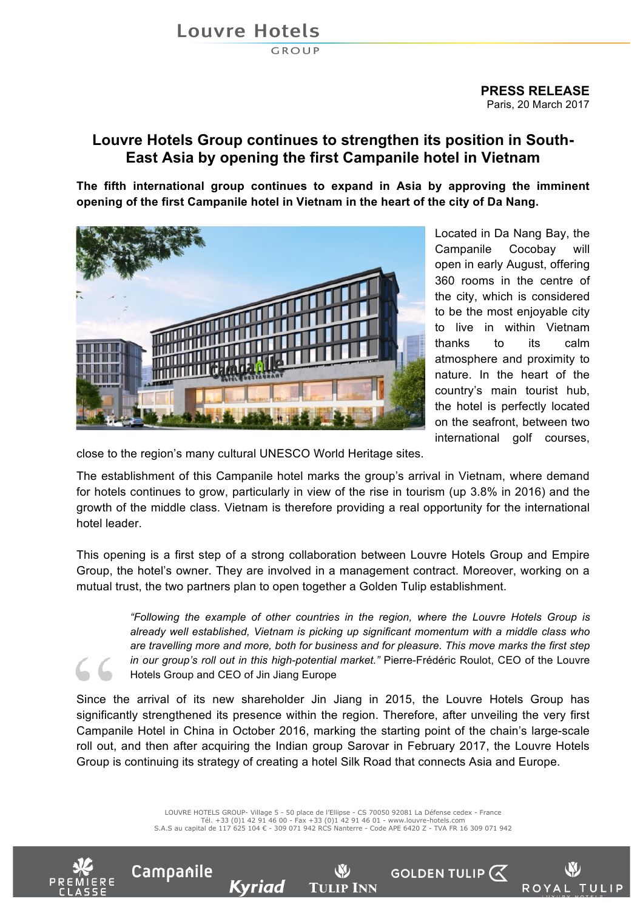## Louvre Hotels

**GROUP** 

## **Louvre Hotels Group continues to strengthen its position in South-East Asia by opening the first Campanile hotel in Vietnam**

**The fifth international group continues to expand in Asia by approving the imminent opening of the first Campanile hotel in Vietnam in the heart of the city of Da Nang.**



Located in Da Nang Bay, the Campanile Cocobay will open in early August, offering 360 rooms in the centre of the city, which is considered to be the most enjoyable city to live in within Vietnam thanks to its calm atmosphere and proximity to nature. In the heart of the country's main tourist hub, the hotel is perfectly located on the seafront, between two international golf courses,

close to the region's many cultural UNESCO World Heritage sites.

The establishment of this Campanile hotel marks the group's arrival in Vietnam, where demand for hotels continues to grow, particularly in view of the rise in tourism (up 3.8% in 2016) and the growth of the middle class. Vietnam is therefore providing a real opportunity for the international hotel leader.

This opening is a first step of a strong collaboration between Louvre Hotels Group and Empire Group, the hotel's owner. They are involved in a management contract. Moreover, working on a mutual trust, the two partners plan to open together a Golden Tulip establishment.

> *"Following the example of other countries in the region, where the Louvre Hotels Group is already well established, Vietnam is picking up significant momentum with a middle class who are travelling more and more, both for business and for pleasure. This move marks the first step in our group's roll out in this high-potential market."* Pierre-Frédéric Roulot, CEO of the Louvre Hotels Group and CEO of Jin Jiang Europe

Since the arrival of its new shareholder Jin Jiang in 2015, the Louvre Hotels Group has significantly strengthened its presence within the region. Therefore, after unveiling the very first Campanile Hotel in China in October 2016, marking the starting point of the chain's large-scale roll out, and then after acquiring the Indian group Sarovar in February 2017, the Louvre Hotels Group is continuing its strategy of creating a hotel Silk Road that connects Asia and Europe.

> LOUVRE HOTELS GROUP- Village 5 - 50 place de l'Ellipse - CS 70050 92081 La Défense cedex - France Tél. +33 (0)1 42 91 46 00 - Fax +33 (0)1 42 91 46 01 - www.louvre-hotels.com S.A.S au capital de 117 625 104 € - 309 071 942 RCS Nanterre - Code APE 6420 Z - TVA FR 16 309 071 942

> > **TULIP INN**

Kyriad



Campanile



**GOLDEN TULIP (X**